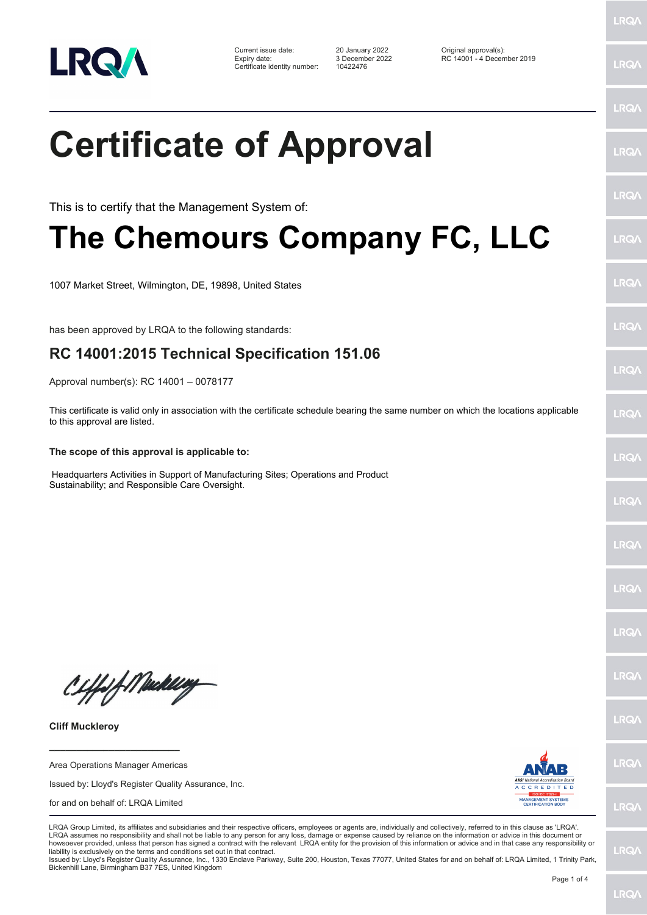

Certificate identity number: 10422476

Current issue date: 20 January 2022 Original approval(s): Expiry date: 3 December 2022 RC 14001 - 4 December 2019

LRQ/

LRQ/

## LRQ/ **Certificate of Approval** LRQ/ LRQ/ This is to certify that the Management System of: **The Chemours Company FC, LLC** LRQ/ LRQ/ 1007 Market Street, Wilmington, DE, 19898, United States LRQ/ has been approved by LRQA to the following standards: **RC 14001:2015 Technical Specification 151.06** LRQ/ Approval number(s): RC 14001 – 0078177 This certificate is valid only in association with the certificate schedule bearing the same number on which the locations applicable **LRO** to this approval are listed. **The scope of this approval is applicable to:** LRQ/ Headquarters Activities in Support of Manufacturing Sites; Operations and Product Sustainability; and Responsible Care Oversight.LRQ/ LRQ/ LRQ/ **IRQ/** Ciffeft Maker **IRQA** LRQ/ **Cliff Muckleroy \_\_\_\_\_\_\_\_\_\_\_\_\_\_\_\_\_\_\_\_\_\_\_\_** LRQ/ Area Operations Manager Americas Issued by: Lloyd's Register Quality Assurance, Inc. for and on behalf of: LRQA Limited **LRQ/** LRQA Group Limited, its affiliates and subsidiaries and their respective officers, employees or agents are, individually and collectively, referred to in this clause as 'LRQA'. LRQA assumes no responsibility and shall not be liable to any person for any loss, damage or expense caused by reliance on the information or advice in this document or howsoever provided, unless that person has signed a contract with the relevant LRQA entity for the provision of this information or advice and in that case any responsibility or LRQ/ liability is exclusively on the terms and conditions set out in that contract. Issued by: Lloyd's Register Quality Assurance, Inc., 1330 Enclave Parkway, Suite 200, Houston, Texas 77077, United States for and on behalf of: LRQA Limited, 1 Trinity Park, Bickenhill Lane, Birmingham B37 7ES, United Kingdom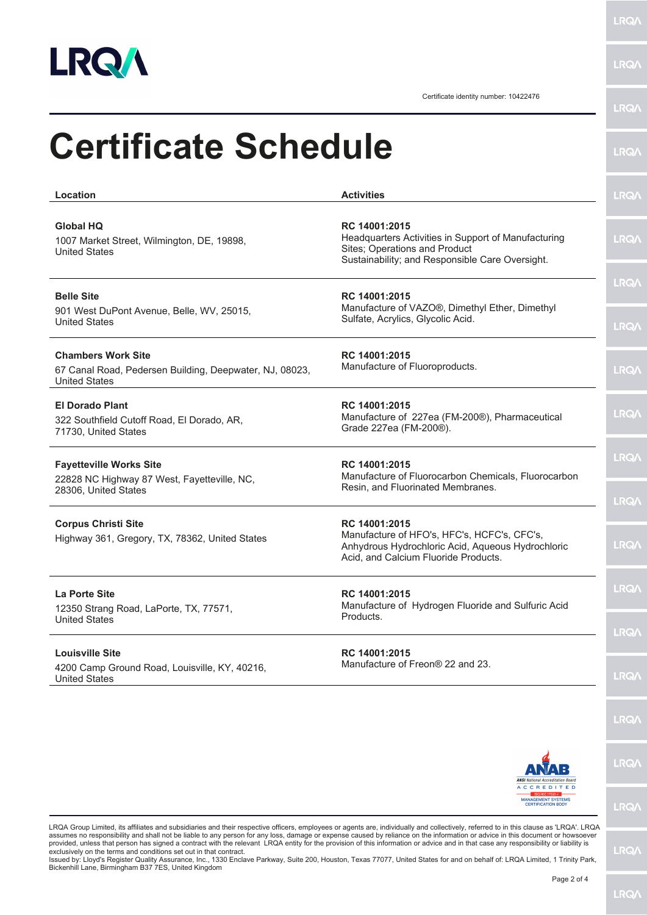

**LRQA** 

**LRQA** 

Certificate identity number: 10422476

| Location                                                                                                     | <b>Activities</b>                                                                                                                                         | <b>LRQA</b>                |
|--------------------------------------------------------------------------------------------------------------|-----------------------------------------------------------------------------------------------------------------------------------------------------------|----------------------------|
| <b>Global HQ</b><br>1007 Market Street, Wilmington, DE, 19898,<br><b>United States</b>                       | RC 14001:2015<br>Headquarters Activities in Support of Manufacturing<br>Sites; Operations and Product<br>Sustainability; and Responsible Care Oversight.  | <b>LRQA</b>                |
| <b>Belle Site</b><br>901 West DuPont Avenue, Belle, WV, 25015,<br><b>United States</b>                       | RC 14001:2015<br>Manufacture of VAZO®, Dimethyl Ether, Dimethyl<br>Sulfate, Acrylics, Glycolic Acid.                                                      | <b>LRQ/</b><br><b>LRQA</b> |
| <b>Chambers Work Site</b><br>67 Canal Road, Pedersen Building, Deepwater, NJ, 08023,<br><b>United States</b> | RC 14001:2015<br>Manufacture of Fluoroproducts.                                                                                                           | <b>LRQ/</b>                |
| <b>El Dorado Plant</b><br>322 Southfield Cutoff Road, El Dorado, AR,<br>71730, United States                 | RC 14001:2015<br>Manufacture of 227ea (FM-200®), Pharmaceutical<br>Grade 227ea (FM-200®).                                                                 | <b>LRQA</b>                |
| <b>Fayetteville Works Site</b><br>22828 NC Highway 87 West, Fayetteville, NC,<br>28306, United States        | RC 14001:2015<br>Manufacture of Fluorocarbon Chemicals, Fluorocarbon<br>Resin, and Fluorinated Membranes.                                                 | <b>LRQA</b><br><b>LRQ/</b> |
| <b>Corpus Christi Site</b><br>Highway 361, Gregory, TX, 78362, United States                                 | RC 14001:2015<br>Manufacture of HFO's, HFC's, HCFC's, CFC's,<br>Anhydrous Hydrochloric Acid, Aqueous Hydrochloric<br>Acid, and Calcium Fluoride Products. | <b>LRQ/</b>                |
| La Porte Site<br>12350 Strang Road, LaPorte, TX, 77571,<br><b>United States</b>                              | RC 14001:2015<br>Manufacture of Hydrogen Fluoride and Sulfuric Acid<br>Products.                                                                          | LRQ/                       |
| <b>Louisville Site</b><br>4200 Camp Ground Road, Louisville, KY, 40216,<br>United States                     | RC 14001:2015<br>Manufacture of Freon® 22 and 23.                                                                                                         | <b>LRQ/</b><br><b>LRQA</b> |
|                                                                                                              |                                                                                                                                                           | <b>LRQ/</b>                |
|                                                                                                              | <b>ANSI</b> National Accreditation Board                                                                                                                  | <b>LRQ/</b>                |
|                                                                                                              | <b>ACCREDITED</b><br><b>MANAGEMENT SYSTEMS</b><br><b>CERTIFICATION BODY</b>                                                                               | <b>LRQA</b>                |

LRQA Group Limited, its affiliates and subsidiaries and their respective officers, employees or agents are, individually and collectively, referred to in this clause as 'LRQA'. LRQA<br>assumes no responsibility and shall not

LRQ/\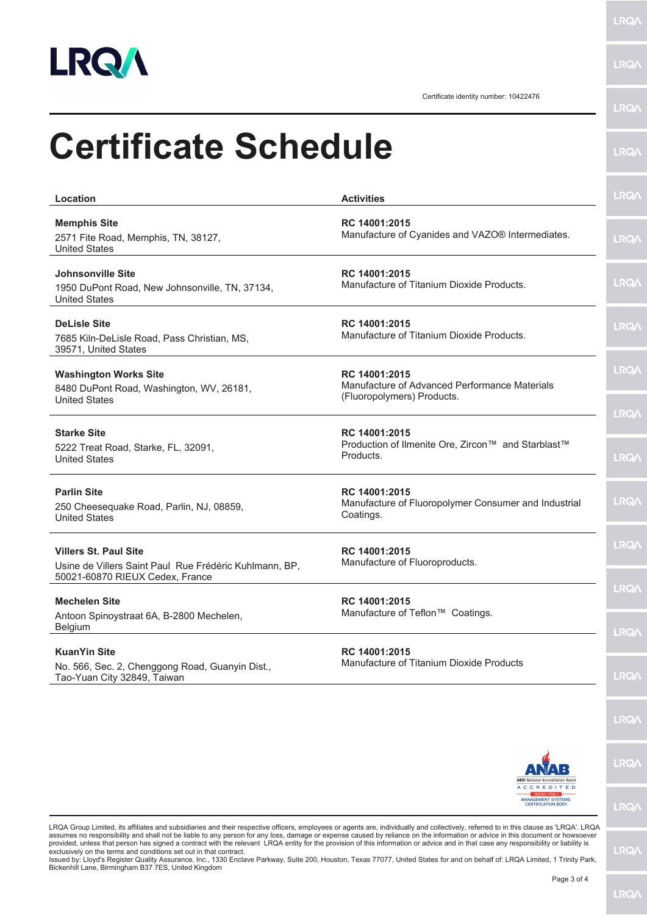

 $\overline{\phantom{0}}$ 

**LRQA** 

LRQ/

Certificate identity number: 10422476

| <b>Certificate Schedule</b>                                                                                               |                                                                                                                                                                                                                                                                                                                                                                                                                                                                                                                                                               | <b>LRQA</b>                |
|---------------------------------------------------------------------------------------------------------------------------|---------------------------------------------------------------------------------------------------------------------------------------------------------------------------------------------------------------------------------------------------------------------------------------------------------------------------------------------------------------------------------------------------------------------------------------------------------------------------------------------------------------------------------------------------------------|----------------------------|
| Location                                                                                                                  | <b>Activities</b>                                                                                                                                                                                                                                                                                                                                                                                                                                                                                                                                             | <b>LRQA</b>                |
| <b>Memphis Site</b><br>2571 Fite Road, Memphis, TN, 38127,<br><b>United States</b>                                        | RC 14001:2015<br>Manufacture of Cyanides and VAZO® Intermediates.                                                                                                                                                                                                                                                                                                                                                                                                                                                                                             | <b>LRQA</b>                |
| Johnsonville Site<br>1950 DuPont Road, New Johnsonville, TN, 37134,<br><b>United States</b>                               | RC 14001:2015<br>Manufacture of Titanium Dioxide Products.                                                                                                                                                                                                                                                                                                                                                                                                                                                                                                    | <b>LRQA</b>                |
| <b>DeLisle Site</b><br>7685 Kiln-DeLisle Road, Pass Christian, MS,<br>39571, United States                                | RC 14001:2015<br>Manufacture of Titanium Dioxide Products.                                                                                                                                                                                                                                                                                                                                                                                                                                                                                                    | <b>LRQ/\</b>               |
| <b>Washington Works Site</b><br>8480 DuPont Road, Washington, WV, 26181,<br><b>United States</b>                          | RC 14001:2015<br>Manufacture of Advanced Performance Materials<br>(Fluoropolymers) Products.                                                                                                                                                                                                                                                                                                                                                                                                                                                                  | <b>LRQ/\</b>               |
| <b>Starke Site</b><br>5222 Treat Road, Starke, FL, 32091,<br><b>United States</b>                                         | RC 14001:2015<br>Production of Ilmenite Ore, Zircon™ and Starblast™<br>Products.                                                                                                                                                                                                                                                                                                                                                                                                                                                                              | <b>LRQA</b><br><b>LRQA</b> |
| <b>Parlin Site</b><br>250 Cheesequake Road, Parlin, NJ, 08859,<br><b>United States</b>                                    | RC 14001:2015<br>Manufacture of Fluoropolymer Consumer and Industrial<br>Coatings.                                                                                                                                                                                                                                                                                                                                                                                                                                                                            | <b>LRQA</b>                |
| <b>Villers St. Paul Site</b><br>Usine de Villers Saint Paul Rue Frédéric Kuhlmann, BP,<br>50021-60870 RIEUX Cedex, France | RC 14001:2015<br>Manufacture of Fluoroproducts.                                                                                                                                                                                                                                                                                                                                                                                                                                                                                                               | <b>LRQA</b>                |
| <b>Mechelen Site</b><br>Antoon Spinoystraat 6A, B-2800 Mechelen,<br><b>Belgium</b>                                        | RC 14001:2015<br>Manufacture of Teflon™ Coatings.                                                                                                                                                                                                                                                                                                                                                                                                                                                                                                             | LRQ/<br>LRQ/               |
| <b>KuanYin Site</b><br>No. 566, Sec. 2, Chenggong Road, Guanyin Dist.,<br>Tao-Yuan City 32849, Taiwan                     | RC 14001:2015<br>Manufacture of Titanium Dioxide Products                                                                                                                                                                                                                                                                                                                                                                                                                                                                                                     | <b>LRQ/</b>                |
|                                                                                                                           |                                                                                                                                                                                                                                                                                                                                                                                                                                                                                                                                                               | <b>LRQ/</b>                |
|                                                                                                                           | <b>ANSI</b> National Accreditation Board<br><b>ACCREDITED</b>                                                                                                                                                                                                                                                                                                                                                                                                                                                                                                 | LRQ/                       |
|                                                                                                                           | <b>MANAGEMENT SYSTEMS</b><br><b>CERTIFICATION BODY</b>                                                                                                                                                                                                                                                                                                                                                                                                                                                                                                        | <b>LRQ/</b>                |
|                                                                                                                           | LRQA Group Limited, its affiliates and subsidiaries and their respective officers, employees or agents are, individually and collectively, referred to in this clause as 'LRQA'. LRQA<br>assumes no responsibility and shall not be liable to any person for any loss, damage or expense caused by reliance on the information or advice in this document or howsoever<br>provided upleas that person has signed a contract with the relevant LPOA entity for the provision of this information or advice and in that case any responsibility or liability is |                            |

assumes no responsibility and shall not be liable to any person for any loss, damage or expense caused by reliance on the information or advice in this document or howsoever<br>provided, unless that person has signed a contra

**LRQA**